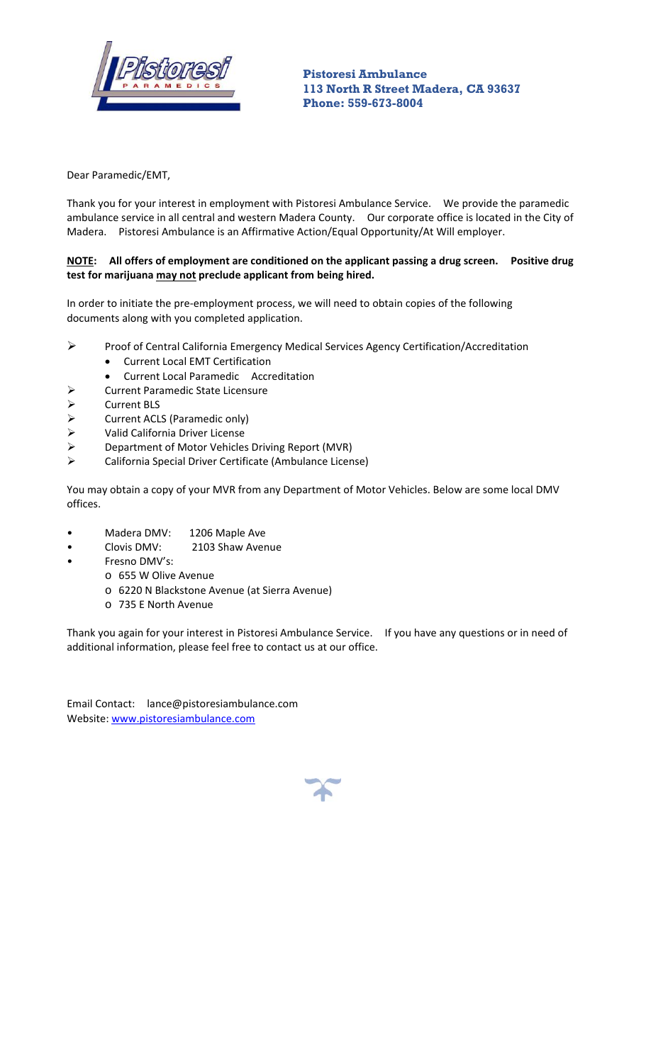

 **Pistoresi Ambulance 113 North R Street Madera, CA 93637 Phone: 559-673-8004** 

Dear Paramedic/EMT,

Thank you for your interest in employment with Pistoresi Ambulance Service. We provide the paramedic ambulance service in all central and western Madera County. Our corporate office is located in the City of Madera. Pistoresi Ambulance is an Affirmative Action/Equal Opportunity/At Will employer.

### NOTE: All offers of employment are conditioned on the applicant passing a drug screen. Positive drug **test for marijuana may not preclude applicant from being hired.**

In order to initiate the pre‐employment process, we will need to obtain copies of the following documents along with you completed application.

- Proof of Central California Emergency Medical Services Agency Certification/Accreditation
	- Current Local EMT Certification
	- Current Local Paramedic Accreditation
- Current Paramedic State Licensure
- → Current BLS<br>→ Current ACL
- $\triangleright$  Current ACLS (Paramedic only)<br> $\triangleright$  Valid California Driver License
- Valid California Driver License
- Department of Motor Vehicles Driving Report (MVR)
- California Special Driver Certificate (Ambulance License)

You may obtain a copy of your MVR from any Department of Motor Vehicles. Below are some local DMV offices.

- Madera DMV: 1206 Maple Ave
- Clovis DMV: 2103 Shaw Avenue
- Fresno DMV's:
	- o 655 W Olive Avenue
	- o 6220 N Blackstone Avenue (at Sierra Avenue)
	- o 735 E North Avenue

Thank you again for your interest in Pistoresi Ambulance Service. If you have any questions or in need of additional information, please feel free to contact us at our office.

Email Contact: lance@pistoresiambulance.com Website: www.pistoresiambulance.com

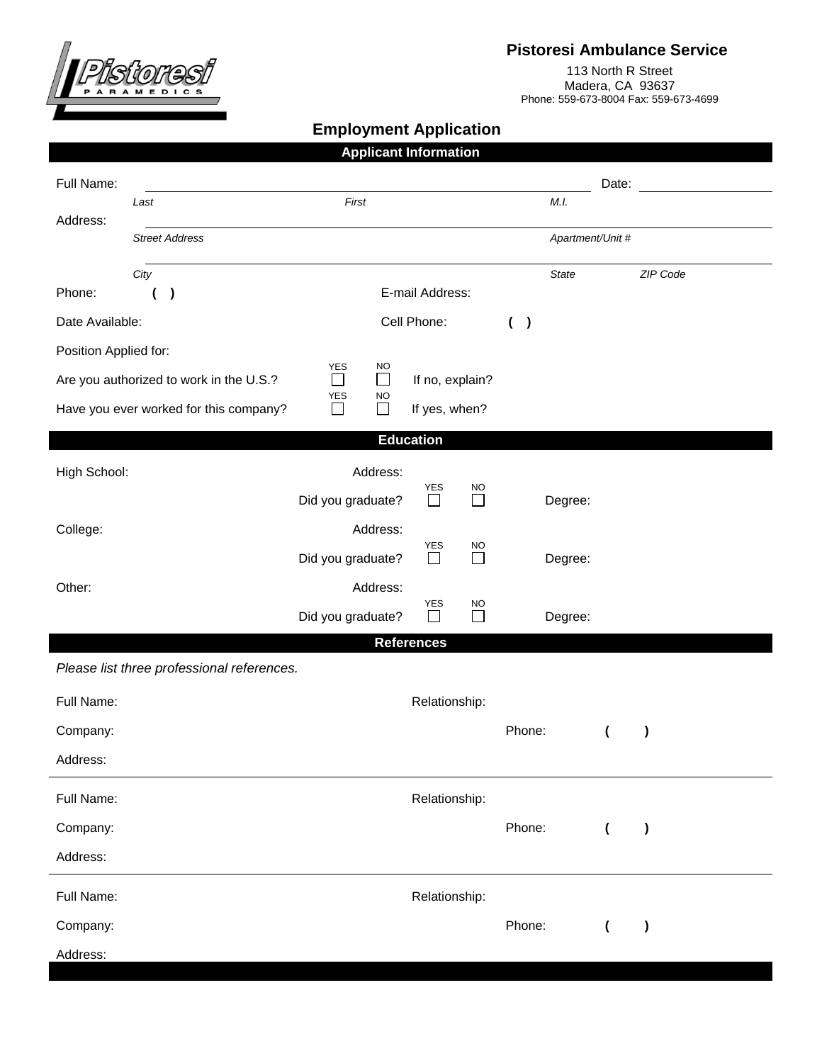

## **Pistoresi Ambulance Service**

113 North R Street Madera, CA 93637 Phone: 559-673-8004 Fax: 559-673-4699

# **Employment Application**

| <b>Applicant Information</b>               |                                                   |                           |               |                      |                                            |                          |                          |           |  |  |
|--------------------------------------------|---------------------------------------------------|---------------------------|---------------|----------------------|--------------------------------------------|--------------------------|--------------------------|-----------|--|--|
| Full Name:                                 |                                                   |                           |               |                      |                                            | Date:                    |                          |           |  |  |
| Address:                                   | Last                                              | M.I.                      |               |                      |                                            |                          |                          |           |  |  |
|                                            | <b>Street Address</b>                             | Apartment/Unit #          |               |                      |                                            |                          |                          |           |  |  |
|                                            | City                                              |                           |               |                      |                                            | <b>State</b>             |                          | ZIP Code  |  |  |
| Phone:                                     | E-mail Address:                                   |                           |               |                      |                                            |                          |                          |           |  |  |
| Date Available:                            |                                                   | Cell Phone:               |               |                      | $\overline{\phantom{a}}$<br>$\overline{ }$ |                          |                          |           |  |  |
| Position Applied for:                      |                                                   | <b>YES</b>                | <b>NO</b>     |                      |                                            |                          |                          |           |  |  |
|                                            | $\Box$<br>Are you authorized to work in the U.S.? |                           | $\Box$        | If no, explain?      |                                            |                          |                          |           |  |  |
|                                            | Have you ever worked for this company?            | YES<br>NO.<br>П<br>$\Box$ |               | If yes, when?        |                                            |                          |                          |           |  |  |
| <b>Education</b>                           |                                                   |                           |               |                      |                                            |                          |                          |           |  |  |
| High School:                               |                                                   |                           | Address:      |                      |                                            |                          |                          |           |  |  |
|                                            |                                                   | Did you graduate?         |               | YES<br>$\Box$        | <b>NO</b><br>П                             | Degree:                  |                          |           |  |  |
| College:                                   |                                                   |                           | Address:      |                      |                                            |                          |                          |           |  |  |
|                                            |                                                   | Did you graduate?         |               | <b>YES</b><br>$\Box$ | NO<br>П                                    | Degree:                  |                          |           |  |  |
| Other:                                     |                                                   |                           | Address:      |                      |                                            |                          |                          |           |  |  |
|                                            |                                                   | Did you graduate?         | YES<br>$\Box$ | NO<br>$\Box$         | Degree:                                    |                          |                          |           |  |  |
| <b>References</b>                          |                                                   |                           |               |                      |                                            |                          |                          |           |  |  |
| Please list three professional references. |                                                   |                           |               |                      |                                            |                          |                          |           |  |  |
| Full Name:                                 |                                                   |                           |               | Relationship:        |                                            |                          |                          |           |  |  |
| Company:                                   |                                                   |                           |               |                      |                                            | Phone:                   | $\overline{ }$           | $\lambda$ |  |  |
| Address:                                   |                                                   |                           |               |                      |                                            |                          |                          |           |  |  |
| Full Name:                                 |                                                   |                           |               | Relationship:        |                                            |                          |                          |           |  |  |
| Company:                                   |                                                   |                           |               |                      | Phone:                                     | $\overline{\mathcal{L}}$ | $\lambda$                |           |  |  |
| Address:                                   |                                                   |                           |               |                      |                                            |                          |                          |           |  |  |
| Full Name:                                 |                                                   |                           |               | Relationship:        |                                            |                          |                          |           |  |  |
| Company:                                   |                                                   |                           |               |                      |                                            | Phone:                   | $\overline{\mathcal{L}}$ | $\lambda$ |  |  |
| Address:                                   |                                                   |                           |               |                      |                                            |                          |                          |           |  |  |
|                                            |                                                   |                           |               |                      |                                            |                          |                          |           |  |  |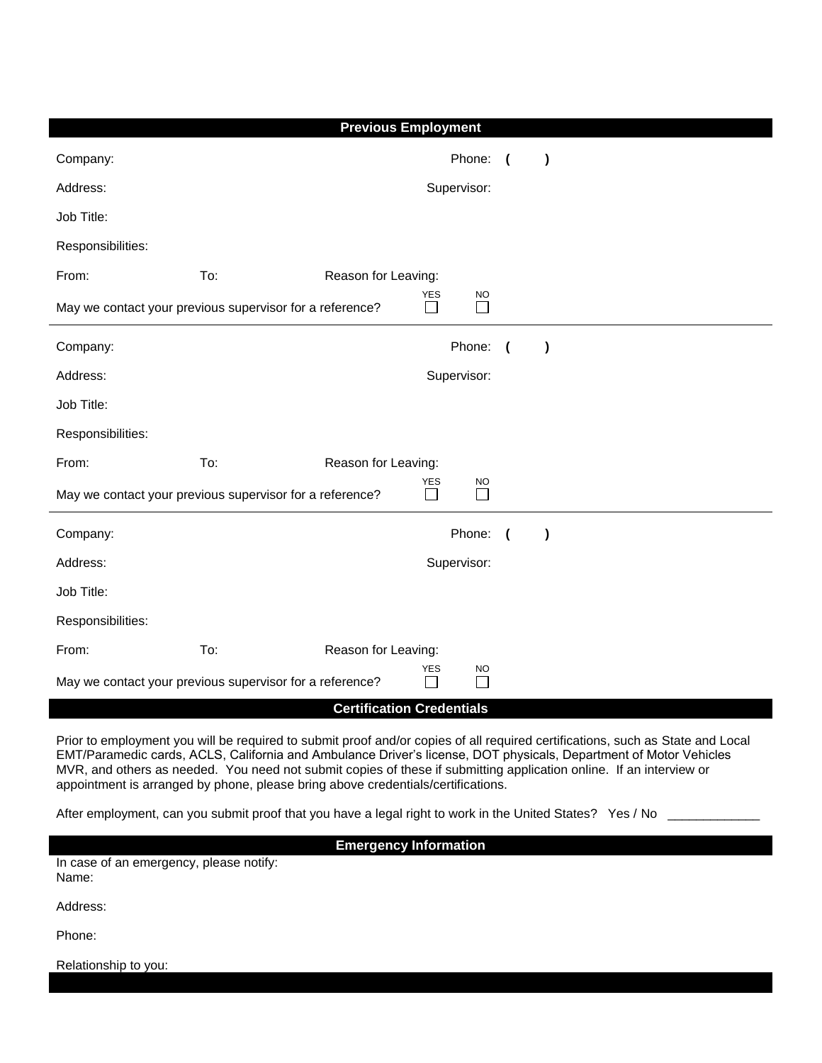| <b>Previous Employment</b>                               |     |                     |                      |                           |                          |           |  |  |  |
|----------------------------------------------------------|-----|---------------------|----------------------|---------------------------|--------------------------|-----------|--|--|--|
| Company:                                                 |     |                     |                      | Phone:                    | $\overline{ }$           | $\lambda$ |  |  |  |
| Address:                                                 |     |                     |                      | Supervisor:               |                          |           |  |  |  |
| Job Title:                                               |     |                     |                      |                           |                          |           |  |  |  |
| Responsibilities:                                        |     |                     |                      |                           |                          |           |  |  |  |
| From:                                                    | To: | Reason for Leaving: |                      |                           |                          |           |  |  |  |
| May we contact your previous supervisor for a reference? |     |                     | <b>YES</b><br>$\Box$ | <b>NO</b>                 |                          |           |  |  |  |
| Company:                                                 |     |                     |                      | Phone:                    | $\overline{\mathcal{L}}$ | $\lambda$ |  |  |  |
| Address:                                                 |     |                     |                      | Supervisor:               |                          |           |  |  |  |
| Job Title:                                               |     |                     |                      |                           |                          |           |  |  |  |
| Responsibilities:                                        |     |                     |                      |                           |                          |           |  |  |  |
| From:                                                    | To: | Reason for Leaving: | <b>YES</b>           |                           |                          |           |  |  |  |
| May we contact your previous supervisor for a reference? |     |                     |                      | <b>NO</b><br>$\mathsf{L}$ |                          |           |  |  |  |
| Company:                                                 |     |                     |                      | Phone:                    | (                        | $\lambda$ |  |  |  |
| Address:                                                 |     |                     |                      | Supervisor:               |                          |           |  |  |  |
| Job Title:                                               |     |                     |                      |                           |                          |           |  |  |  |
| Responsibilities:                                        |     |                     |                      |                           |                          |           |  |  |  |
| From:                                                    | To: | Reason for Leaving: | <b>YES</b>           |                           |                          |           |  |  |  |
| May we contact your previous supervisor for a reference? |     |                     |                      | <b>NO</b>                 |                          |           |  |  |  |
| <b>Certification Credentials</b>                         |     |                     |                      |                           |                          |           |  |  |  |

Prior to employment you will be required to submit proof and/or copies of all required certifications, such as State and Local EMT/Paramedic cards, ACLS, California and Ambulance Driver's license, DOT physicals, Department of Motor Vehicles MVR, and others as needed. You need not submit copies of these if submitting application online. If an interview or appointment is arranged by phone, please bring above credentials/certifications.

After employment, can you submit proof that you have a legal right to work in the United States? Yes / No

**Emergency Information**

In case of an emergency, please notify: Name:

Address:

Phone:

Relationship to you: